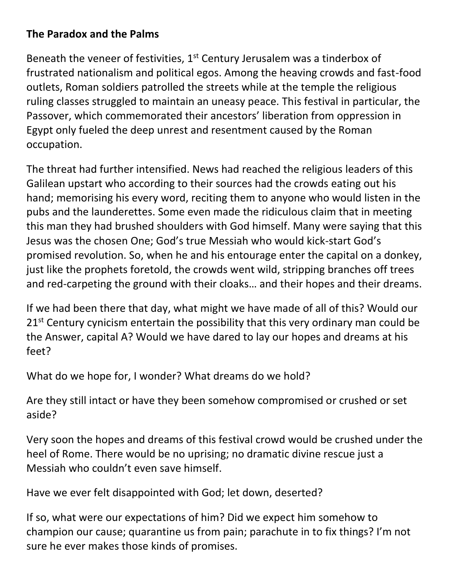## **The Paradox and the Palms**

Beneath the veneer of festivities,  $1<sup>st</sup>$  Century Jerusalem was a tinderbox of frustrated nationalism and political egos. Among the heaving crowds and fast-food outlets, Roman soldiers patrolled the streets while at the temple the religious ruling classes struggled to maintain an uneasy peace. This festival in particular, the Passover, which commemorated their ancestors' liberation from oppression in Egypt only fueled the deep unrest and resentment caused by the Roman occupation.

The threat had further intensified. News had reached the religious leaders of this Galilean upstart who according to their sources had the crowds eating out his hand; memorising his every word, reciting them to anyone who would listen in the pubs and the launderettes. Some even made the ridiculous claim that in meeting this man they had brushed shoulders with God himself. Many were saying that this Jesus was the chosen One; God's true Messiah who would kick-start God's promised revolution. So, when he and his entourage enter the capital on a donkey, just like the prophets foretold, the crowds went wild, stripping branches off trees and red-carpeting the ground with their cloaks… and their hopes and their dreams.

If we had been there that day, what might we have made of all of this? Would our 21<sup>st</sup> Century cynicism entertain the possibility that this very ordinary man could be the Answer, capital A? Would we have dared to lay our hopes and dreams at his feet?

What do we hope for, I wonder? What dreams do we hold?

Are they still intact or have they been somehow compromised or crushed or set aside?

Very soon the hopes and dreams of this festival crowd would be crushed under the heel of Rome. There would be no uprising; no dramatic divine rescue just a Messiah who couldn't even save himself.

Have we ever felt disappointed with God; let down, deserted?

If so, what were our expectations of him? Did we expect him somehow to champion our cause; quarantine us from pain; parachute in to fix things? I'm not sure he ever makes those kinds of promises.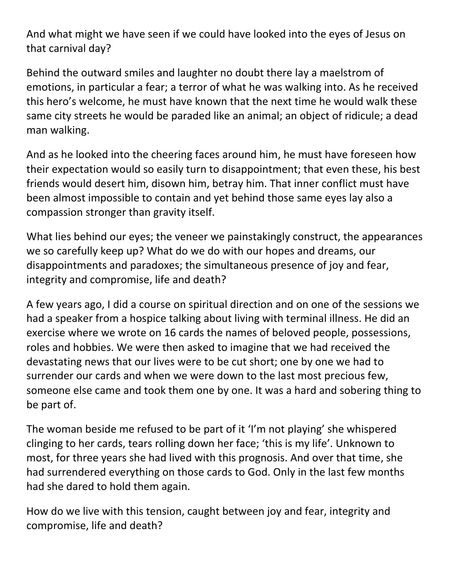And what might we have seen if we could have looked into the eyes of Jesus on that carnival day?

Behind the outward smiles and laughter no doubt there lay a maelstrom of emotions, in particular a fear; a terror of what he was walking into. As he received this hero's welcome, he must have known that the next time he would walk these same city streets he would be paraded like an animal; an object of ridicule; a dead man walking.

And as he looked into the cheering faces around him, he must have foreseen how their expectation would so easily turn to disappointment; that even these, his best friends would desert him, disown him, betray him. That inner conflict must have been almost impossible to contain and yet behind those same eyes lay also a compassion stronger than gravity itself.

What lies behind our eyes; the veneer we painstakingly construct, the appearances we so carefully keep up? What do we do with our hopes and dreams, our disappointments and paradoxes; the simultaneous presence of joy and fear, integrity and compromise, life and death?

A few years ago, I did a course on spiritual direction and on one of the sessions we had a speaker from a hospice talking about living with terminal illness. He did an exercise where we wrote on 16 cards the names of beloved people, possessions, roles and hobbies. We were then asked to imagine that we had received the devastating news that our lives were to be cut short; one by one we had to surrender our cards and when we were down to the last most precious few, someone else came and took them one by one. It was a hard and sobering thing to be part of.

The woman beside me refused to be part of it 'I'm not playing' she whispered clinging to her cards, tears rolling down her face; 'this is my life'. Unknown to most, for three years she had lived with this prognosis. And over that time, she had surrendered everything on those cards to God. Only in the last few months had she dared to hold them again.

How do we live with this tension, caught between joy and fear, integrity and compromise, life and death?